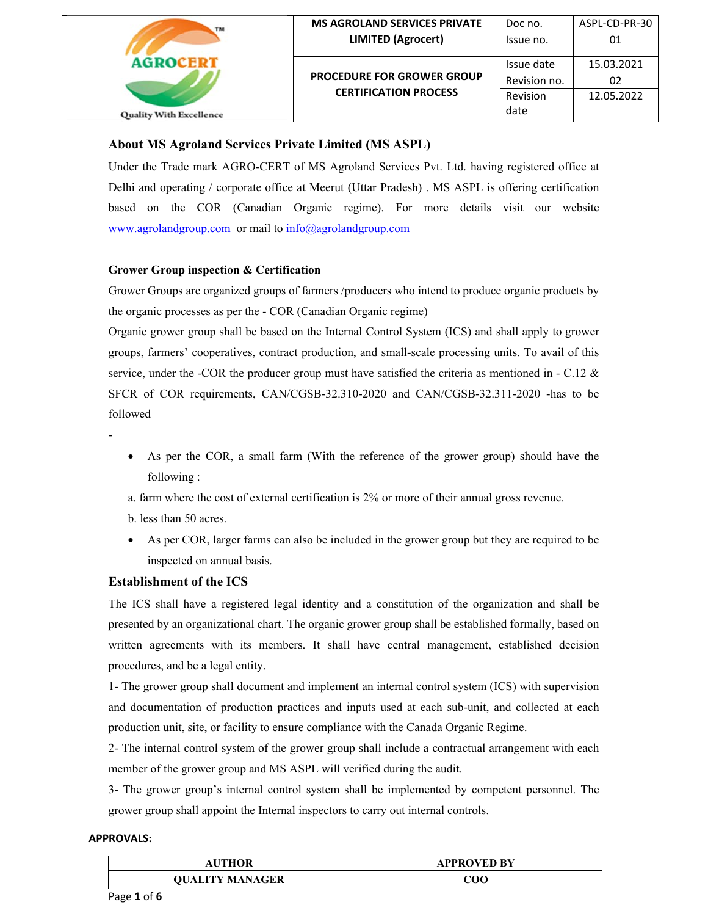

# **About MS Agroland Services Private Limited (MS ASPL)**

Under the Trade mark AGRO-CERT of MS Agroland Services Pvt. Ltd. having registered office at Delhi and operating / corporate office at Meerut (Uttar Pradesh) . MS ASPL is offering certification based on the COR (Canadian Organic regime). For more details visit our website www.agrolandgroup.com or mail to info@agrolandgroup.com

#### **Grower Group inspection & Certification**

Grower Groups are organized groups of farmers /producers who intend to produce organic products by the organic processes as per the - COR (Canadian Organic regime)

Organic grower group shall be based on the Internal Control System (ICS) and shall apply to grower groups, farmers' cooperatives, contract production, and small-scale processing units. To avail of this service, under the -COR the producer group must have satisfied the criteria as mentioned in - C.12  $\&$ SFCR of COR requirements, CAN/CGSB-32.310-2020 and CAN/CGSB-32.311-2020 -has to be followed

- -
- As per the COR, a small farm (With the reference of the grower group) should have the following :
- a. farm where the cost of external certification is 2% or more of their annual gross revenue.
- b. less than 50 acres.
- As per COR, larger farms can also be included in the grower group but they are required to be inspected on annual basis.

## **Establishment of the ICS**

The ICS shall have a registered legal identity and a constitution of the organization and shall be presented by an organizational chart. The organic grower group shall be established formally, based on written agreements with its members. It shall have central management, established decision procedures, and be a legal entity.

1- The grower group shall document and implement an internal control system (ICS) with supervision and documentation of production practices and inputs used at each sub-unit, and collected at each production unit, site, or facility to ensure compliance with the Canada Organic Regime.

2- The internal control system of the grower group shall include a contractual arrangement with each member of the grower group and MS ASPL will verified during the audit.

3- The grower group's internal control system shall be implemented by competent personnel. The grower group shall appoint the Internal inspectors to carry out internal controls.

| <b>AUTHOR</b>          | <b>APPROVED BY</b> |
|------------------------|--------------------|
| <b>OUALITY MANAGER</b> | 200                |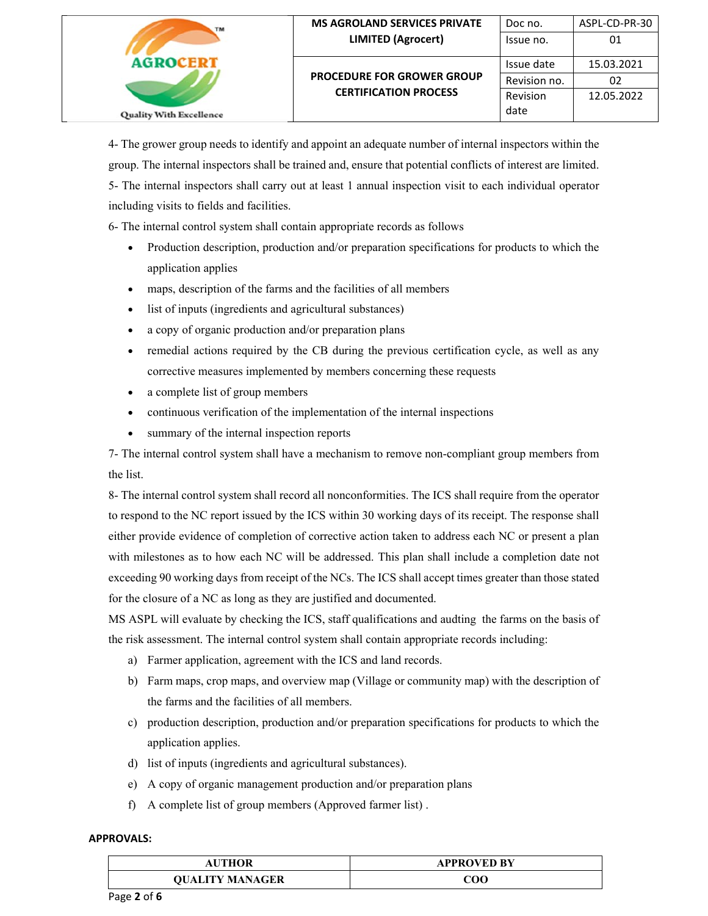| TM                             | <b>MS AGROLAND SERVICES PRIVATE</b><br><b>LIMITED (Agrocert)</b>  | Doc no.<br>Issue no. | ASPL-CD-PR-30<br>01 |
|--------------------------------|-------------------------------------------------------------------|----------------------|---------------------|
| <b>Quality With Excellence</b> |                                                                   | Issue date           | 15.03.2021          |
|                                | <b>PROCEDURE FOR GROWER GROUP</b><br><b>CERTIFICATION PROCESS</b> | Revision no.         | 02                  |
|                                |                                                                   | Revision<br>date     | 12.05.2022          |

4- The grower group needs to identify and appoint an adequate number of internal inspectors within the group. The internal inspectors shall be trained and, ensure that potential conflicts of interest are limited. 5- The internal inspectors shall carry out at least 1 annual inspection visit to each individual operator including visits to fields and facilities.

6- The internal control system shall contain appropriate records as follows

- Production description, production and/or preparation specifications for products to which the application applies
- maps, description of the farms and the facilities of all members
- list of inputs (ingredients and agricultural substances)
- a copy of organic production and/or preparation plans
- remedial actions required by the CB during the previous certification cycle, as well as any corrective measures implemented by members concerning these requests
- a complete list of group members
- continuous verification of the implementation of the internal inspections
- summary of the internal inspection reports

7- The internal control system shall have a mechanism to remove non-compliant group members from the list.

8- The internal control system shall record all nonconformities. The ICS shall require from the operator to respond to the NC report issued by the ICS within 30 working days of its receipt. The response shall either provide evidence of completion of corrective action taken to address each NC or present a plan with milestones as to how each NC will be addressed. This plan shall include a completion date not exceeding 90 working days from receipt of the NCs. The ICS shall accept times greater than those stated for the closure of a NC as long as they are justified and documented.

MS ASPL will evaluate by checking the ICS, staff qualifications and audting the farms on the basis of the risk assessment. The internal control system shall contain appropriate records including:

- a) Farmer application, agreement with the ICS and land records.
- b) Farm maps, crop maps, and overview map (Village or community map) with the description of the farms and the facilities of all members.
- c) production description, production and/or preparation specifications for products to which the application applies.
- d) list of inputs (ingredients and agricultural substances).
- e) A copy of organic management production and/or preparation plans
- f) A complete list of group members (Approved farmer list) .

| AUTHOR                 | <b>APPROVED BY</b> |
|------------------------|--------------------|
| <b>OUALITY MANAGER</b> | COC                |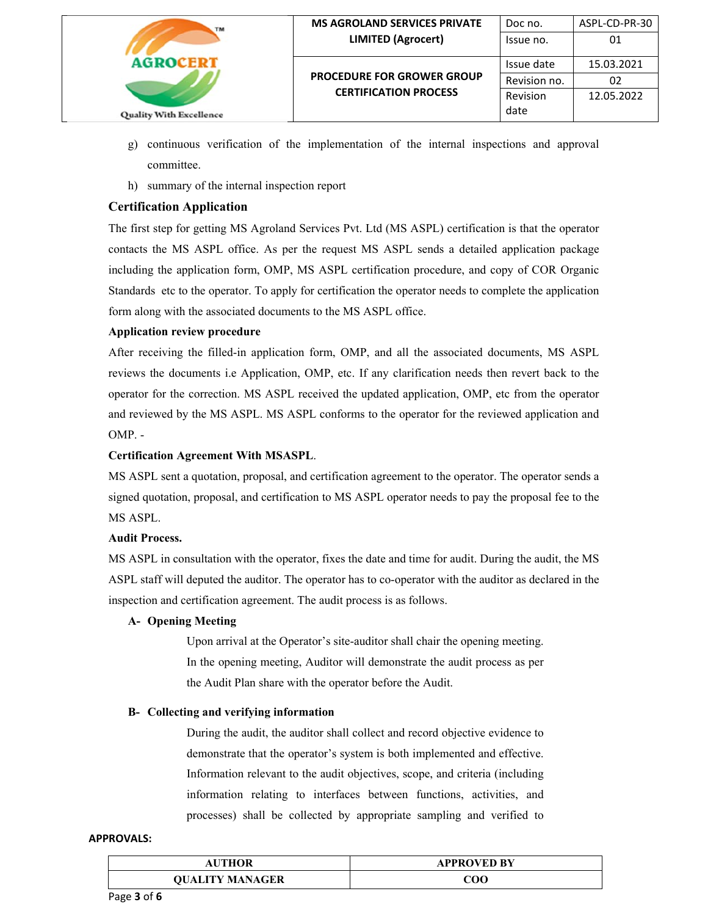

- g) continuous verification of the implementation of the internal inspections and approval committee.
- h) summary of the internal inspection report

# **Certification Application**

The first step for getting MS Agroland Services Pvt. Ltd (MS ASPL) certification is that the operator contacts the MS ASPL office. As per the request MS ASPL sends a detailed application package including the application form, OMP, MS ASPL certification procedure, and copy of COR Organic Standards etc to the operator. To apply for certification the operator needs to complete the application form along with the associated documents to the MS ASPL office.

## **Application review procedure**

After receiving the filled-in application form, OMP, and all the associated documents, MS ASPL reviews the documents i.e Application, OMP, etc. If any clarification needs then revert back to the operator for the correction. MS ASPL received the updated application, OMP, etc from the operator and reviewed by the MS ASPL. MS ASPL conforms to the operator for the reviewed application and OMP. -

## **Certification Agreement With MSASPL**.

MS ASPL sent a quotation, proposal, and certification agreement to the operator. The operator sends a signed quotation, proposal, and certification to MS ASPL operator needs to pay the proposal fee to the MS ASPL.

## **Audit Process.**

MS ASPL in consultation with the operator, fixes the date and time for audit. During the audit, the MS ASPL staff will deputed the auditor. The operator has to co-operator with the auditor as declared in the inspection and certification agreement. The audit process is as follows.

## **A- Opening Meeting**

Upon arrival at the Operator's site-auditor shall chair the opening meeting. In the opening meeting, Auditor will demonstrate the audit process as per the Audit Plan share with the operator before the Audit.

## **B- Collecting and verifying information**

During the audit, the auditor shall collect and record objective evidence to demonstrate that the operator's system is both implemented and effective. Information relevant to the audit objectives, scope, and criteria (including information relating to interfaces between functions, activities, and processes) shall be collected by appropriate sampling and verified to

| <b>AUTHOR</b>          | <b>APPROVED BY</b> |
|------------------------|--------------------|
| <b>OUALITY MANAGER</b> | 200                |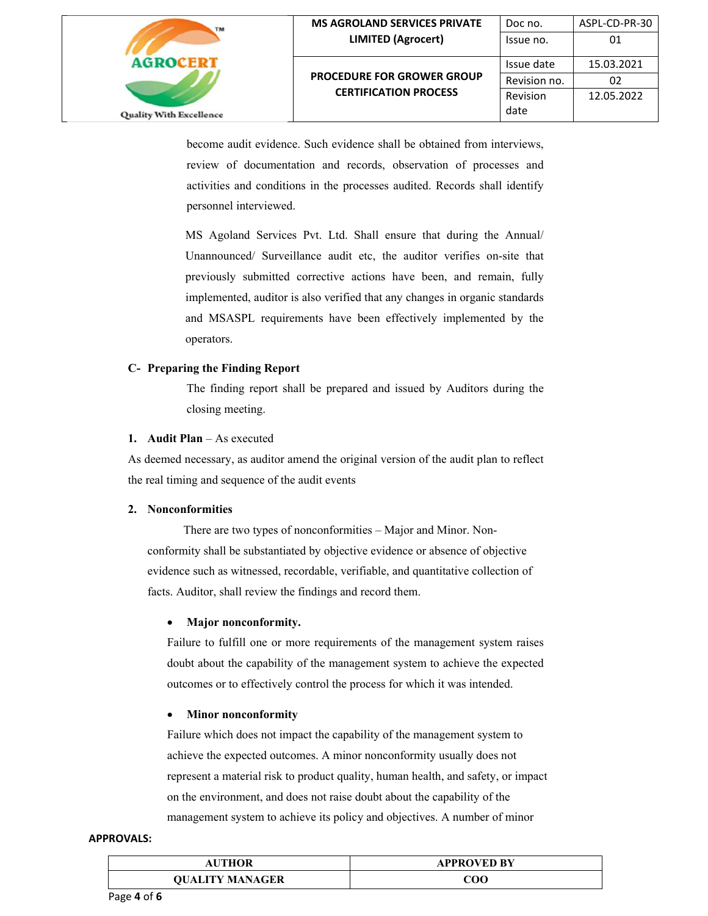

become audit evidence. Such evidence shall be obtained from interviews, review of documentation and records, observation of processes and activities and conditions in the processes audited. Records shall identify personnel interviewed.

MS Agoland Services Pvt. Ltd. Shall ensure that during the Annual/ Unannounced/ Surveillance audit etc, the auditor verifies on-site that previously submitted corrective actions have been, and remain, fully implemented, auditor is also verified that any changes in organic standards and MSASPL requirements have been effectively implemented by the operators.

## **C- Preparing the Finding Report**

The finding report shall be prepared and issued by Auditors during the closing meeting.

#### **1. Audit Plan** – As executed

As deemed necessary, as auditor amend the original version of the audit plan to reflect the real timing and sequence of the audit events

## **2. Nonconformities**

 There are two types of nonconformities – Major and Minor. Nonconformity shall be substantiated by objective evidence or absence of objective evidence such as witnessed, recordable, verifiable, and quantitative collection of facts. Auditor, shall review the findings and record them.

## **Major nonconformity.**

Failure to fulfill one or more requirements of the management system raises doubt about the capability of the management system to achieve the expected outcomes or to effectively control the process for which it was intended.

## **Minor nonconformity**

Failure which does not impact the capability of the management system to achieve the expected outcomes. A minor nonconformity usually does not represent a material risk to product quality, human health, and safety, or impact on the environment, and does not raise doubt about the capability of the management system to achieve its policy and objectives. A number of minor

| AUTHOR                 | <b>APPROVED BY</b> |
|------------------------|--------------------|
| <b>OUALITY MANAGER</b> | 70C                |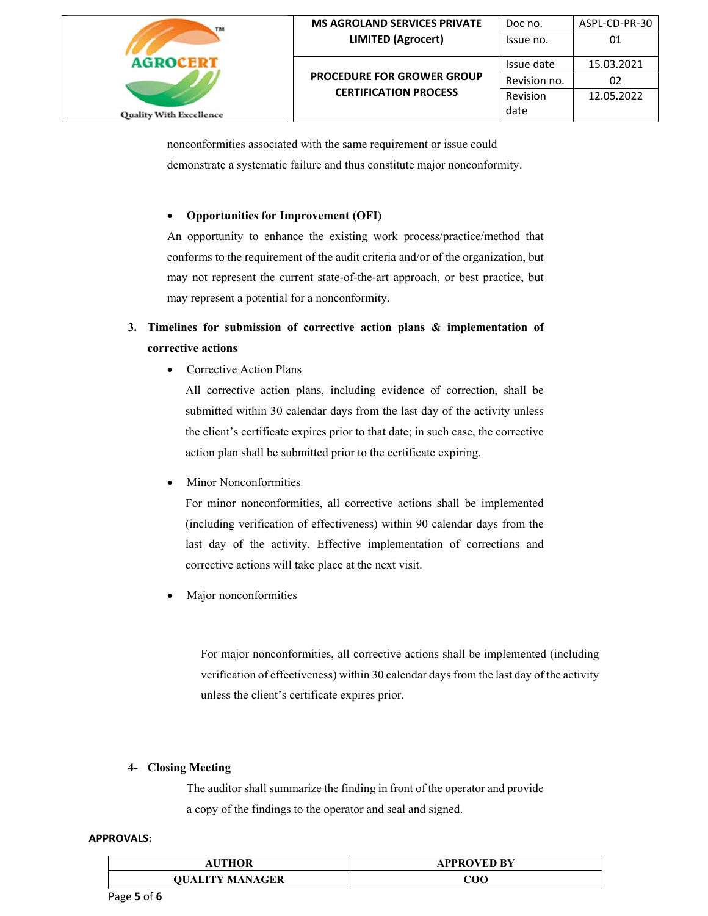

nonconformities associated with the same requirement or issue could demonstrate a systematic failure and thus constitute major nonconformity.

## **Opportunities for Improvement (OFI)**

An opportunity to enhance the existing work process/practice/method that conforms to the requirement of the audit criteria and/or of the organization, but may not represent the current state-of-the-art approach, or best practice, but may represent a potential for a nonconformity.

# **3. Timelines for submission of corrective action plans & implementation of corrective actions**

Corrective Action Plans

All corrective action plans, including evidence of correction, shall be submitted within 30 calendar days from the last day of the activity unless the client's certificate expires prior to that date; in such case, the corrective action plan shall be submitted prior to the certificate expiring.

Minor Nonconformities

For minor nonconformities, all corrective actions shall be implemented (including verification of effectiveness) within 90 calendar days from the last day of the activity. Effective implementation of corrections and corrective actions will take place at the next visit.

Major nonconformities

For major nonconformities, all corrective actions shall be implemented (including verification of effectiveness) within 30 calendar days from the last day of the activity unless the client's certificate expires prior.

## **4- Closing Meeting**

The auditor shall summarize the finding in front of the operator and provide a copy of the findings to the operator and seal and signed.

| AUTHOR                 | <b>APPROVED BY</b> |
|------------------------|--------------------|
| <b>OUALITY MANAGER</b> | 700                |